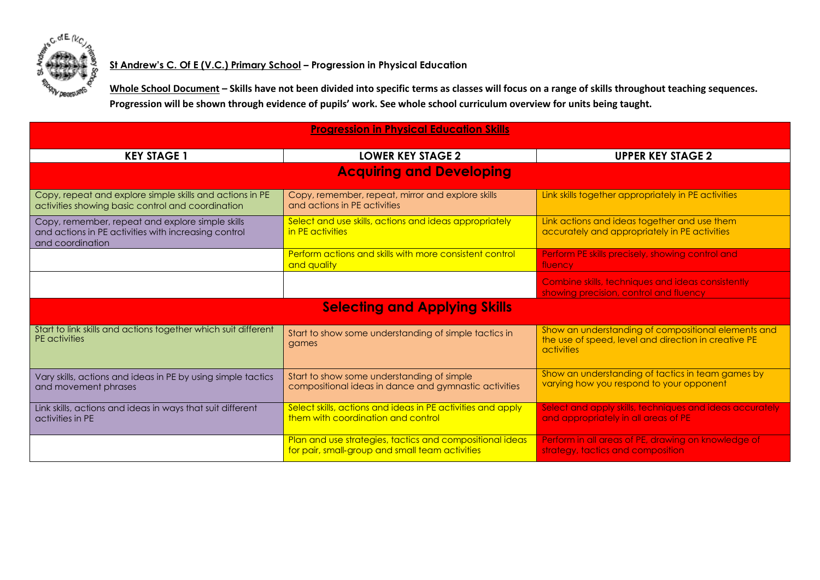

## **St Andrew's C. Of E (V.C.) Primary School – Progression in Physical Education**

**Whole School Document – Skills have not been divided into specific terms as classes will focus on a range of skills throughout teaching sequences. Progression will be shown through evidence of pupils' work. See whole school curriculum overview for units being taught.** 

| <b>Progression in Physical Education Skills</b>                                                                              |                                                                                                             |                                                                                                                           |
|------------------------------------------------------------------------------------------------------------------------------|-------------------------------------------------------------------------------------------------------------|---------------------------------------------------------------------------------------------------------------------------|
| <b>KEY STAGE 1</b>                                                                                                           | <b>LOWER KEY STAGE 2</b>                                                                                    | <b>UPPER KEY STAGE 2</b>                                                                                                  |
| <b>Acquiring and Developing</b>                                                                                              |                                                                                                             |                                                                                                                           |
| Copy, repeat and explore simple skills and actions in PE<br>activities showing basic control and coordination                | Copy, remember, repeat, mirror and explore skills<br>and actions in PE activities                           | Link skills together appropriately in PE activities                                                                       |
| Copy, remember, repeat and explore simple skills<br>and actions in PE activities with increasing control<br>and coordination | Select and use skills, actions and ideas appropriately<br>in PE activities                                  | Link actions and ideas together and use them<br>accurately and appropriately in PE activities                             |
|                                                                                                                              | Perform actions and skills with more consistent control<br>and quality                                      | Perform PE skills precisely, showing control and<br>fluency                                                               |
|                                                                                                                              |                                                                                                             | Combine skills, techniques and ideas consistently<br>showing precision, control and fluency                               |
| <b>Selecting and Applying Skills</b>                                                                                         |                                                                                                             |                                                                                                                           |
| Start to link skills and actions together which suit different<br>PE activities                                              | Start to show some understanding of simple tactics in<br>games                                              | Show an understanding of compositional elements and<br>the use of speed, level and direction in creative PE<br>activities |
| Vary skills, actions and ideas in PE by using simple tactics<br>and movement phrases                                         | Start to show some understanding of simple<br>compositional ideas in dance and gymnastic activities         | Show an understanding of tactics in team games by<br>varying how you respond to your opponent                             |
| Link skills, actions and ideas in ways that suit different<br>activities in PE                                               | Select skills, actions and ideas in PE activities and apply<br>them with coordination and control           | Select and apply skills, techniques and ideas accurately<br>and appropriately in all areas of PE                          |
|                                                                                                                              | Plan and use strategies, tactics and compositional ideas<br>for pair, small-group and small team activities | Perform in all areas of PE, drawing on knowledge of<br>strategy, tactics and composition                                  |